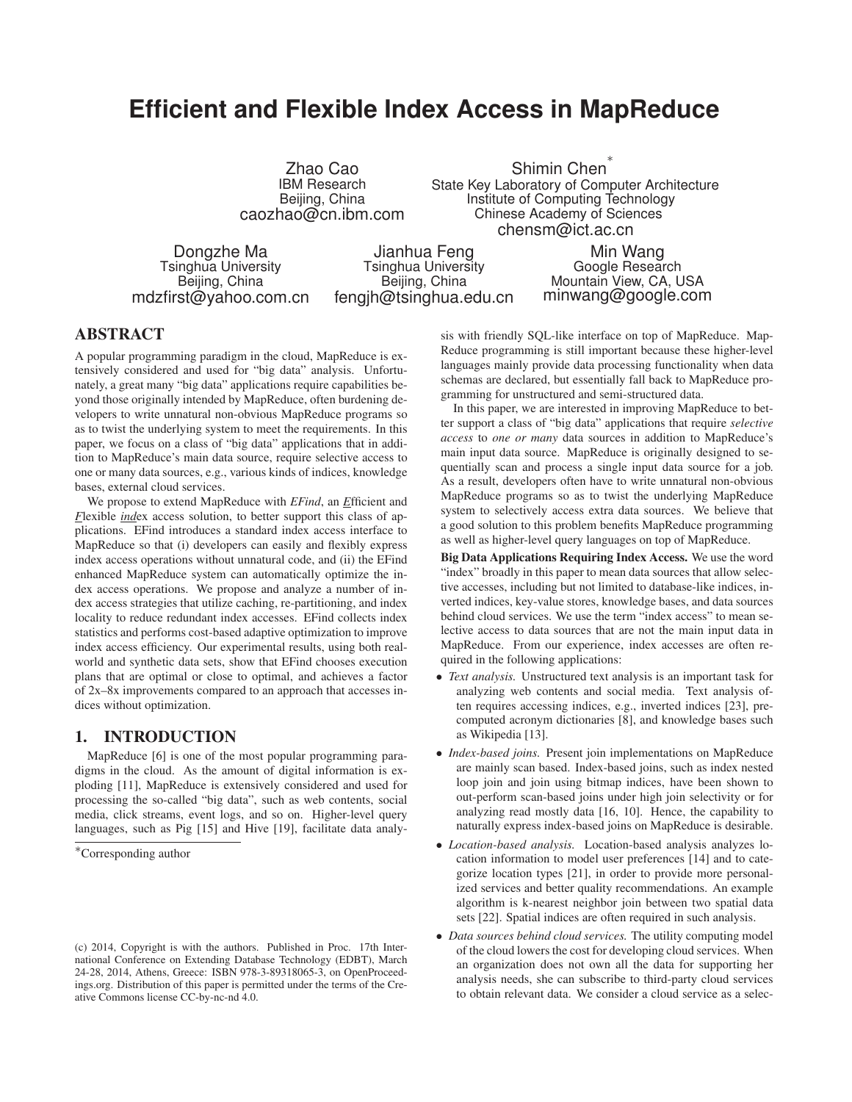# **Efficient and Flexible Index Access in MapReduce**

Zhao Cao IBM Research Beijing, China caozhao@cn.ibm.com

Shimin Chen ∗ State Key Laboratory of Computer Architecture Institute of Computing Technology Chinese Academy of Sciences chensm@ict.ac.cn

Dongzhe Ma Tsinghua University Beijing, China mdzfirst@yahoo.com.cn

Jianhua Feng Tsinghua University Beijing, China fengjh@tsinghua.edu.cn

Min Wang Google Research Mountain View, CA, USA minwang@google.com

# **ABSTRACT**

A popular programming paradigm in the cloud, MapReduce is extensively considered and used for "big data" analysis. Unfortunately, a great many "big data" applications require capabilities beyond those originally intended by MapReduce, often burdening developers to write unnatural non-obvious MapReduce programs so as to twist the underlying system to meet the requirements. In this paper, we focus on a class of "big data" applications that in addition to MapReduce's main data source, require selective access to one or many data sources, e.g., various kinds of indices, knowledge bases, external cloud services.

We propose to extend MapReduce with *EFind*, an *E*fficient and *F*lexible *ind*ex access solution, to better support this class of applications. EFind introduces a standard index access interface to MapReduce so that (i) developers can easily and flexibly express index access operations without unnatural code, and (ii) the EFind enhanced MapReduce system can automatically optimize the index access operations. We propose and analyze a number of index access strategies that utilize caching, re-partitioning, and index locality to reduce redundant index accesses. EFind collects index statistics and performs cost-based adaptive optimization to improve index access efficiency. Our experimental results, using both realworld and synthetic data sets, show that EFind chooses execution plans that are optimal or close to optimal, and achieves a factor of 2x–8x improvements compared to an approach that accesses indices without optimization.

# **1. INTRODUCTION**

MapReduce [6] is one of the most popular programming paradigms in the cloud. As the amount of digital information is exploding [11], MapReduce is extensively considered and used for processing the so-called "big data", such as web contents, social media, click streams, event logs, and so on. Higher-level query languages, such as Pig [15] and Hive [19], facilitate data analy-

sis with friendly SQL-like interface on top of MapReduce. Map-Reduce programming is still important because these higher-level languages mainly provide data processing functionality when data schemas are declared, but essentially fall back to MapReduce programming for unstructured and semi-structured data.

In this paper, we are interested in improving MapReduce to better support a class of "big data" applications that require *selective access* to *one or many* data sources in addition to MapReduce's main input data source. MapReduce is originally designed to sequentially scan and process a single input data source for a job. As a result, developers often have to write unnatural non-obvious MapReduce programs so as to twist the underlying MapReduce system to selectively access extra data sources. We believe that a good solution to this problem benefits MapReduce programming as well as higher-level query languages on top of MapReduce.

**Big Data Applications Requiring Index Access.** We use the word "index" broadly in this paper to mean data sources that allow selective accesses, including but not limited to database-like indices, inverted indices, key-value stores, knowledge bases, and data sources behind cloud services. We use the term "index access" to mean selective access to data sources that are not the main input data in MapReduce. From our experience, index accesses are often required in the following applications:

- *Text analysis.* Unstructured text analysis is an important task for analyzing web contents and social media. Text analysis often requires accessing indices, e.g., inverted indices [23], precomputed acronym dictionaries [8], and knowledge bases such as Wikipedia [13].
- *Index-based joins.* Present join implementations on MapReduce are mainly scan based. Index-based joins, such as index nested loop join and join using bitmap indices, have been shown to out-perform scan-based joins under high join selectivity or for analyzing read mostly data [16, 10]. Hence, the capability to naturally express index-based joins on MapReduce is desirable.
- *Location-based analysis.* Location-based analysis analyzes location information to model user preferences [14] and to categorize location types [21], in order to provide more personalized services and better quality recommendations. An example algorithm is k-nearest neighbor join between two spatial data sets [22]. Spatial indices are often required in such analysis.
- *Data sources behind cloud services.* The utility computing model of the cloud lowers the cost for developing cloud services. When an organization does not own all the data for supporting her analysis needs, she can subscribe to third-party cloud services to obtain relevant data. We consider a cloud service as a selec-

<sup>∗</sup>Corresponding author

<sup>(</sup>c) 2014, Copyright is with the authors. Published in Proc. 17th International Conference on Extending Database Technology (EDBT), March 24-28, 2014, Athens, Greece: ISBN 978-3-89318065-3, on OpenProceedings.org. Distribution of this paper is permitted under the terms of the Creative Commons license CC-by-nc-nd 4.0.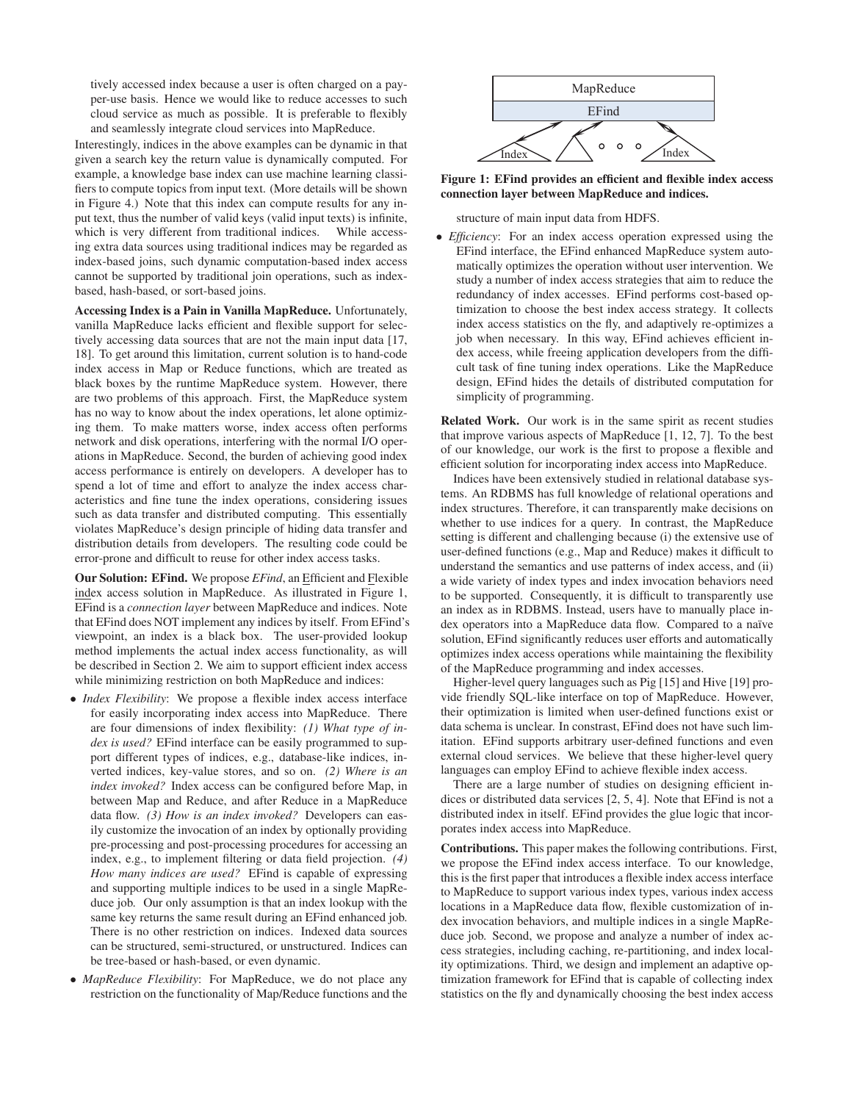tively accessed index because a user is often charged on a payper-use basis. Hence we would like to reduce accesses to such cloud service as much as possible. It is preferable to flexibly and seamlessly integrate cloud services into MapReduce.

Interestingly, indices in the above examples can be dynamic in that given a search key the return value is dynamically computed. For example, a knowledge base index can use machine learning classifiers to compute topics from input text. (More details will be shown in Figure 4.) Note that this index can compute results for any input text, thus the number of valid keys (valid input texts) is infinite, which is very different from traditional indices. While accessing extra data sources using traditional indices may be regarded as index-based joins, such dynamic computation-based index access cannot be supported by traditional join operations, such as indexbased, hash-based, or sort-based joins.

**Accessing Index is a Pain in Vanilla MapReduce.** Unfortunately, vanilla MapReduce lacks efficient and flexible support for selectively accessing data sources that are not the main input data [17, 18]. To get around this limitation, current solution is to hand-code index access in Map or Reduce functions, which are treated as black boxes by the runtime MapReduce system. However, there are two problems of this approach. First, the MapReduce system has no way to know about the index operations, let alone optimizing them. To make matters worse, index access often performs network and disk operations, interfering with the normal I/O operations in MapReduce. Second, the burden of achieving good index access performance is entirely on developers. A developer has to spend a lot of time and effort to analyze the index access characteristics and fine tune the index operations, considering issues such as data transfer and distributed computing. This essentially violates MapReduce's design principle of hiding data transfer and distribution details from developers. The resulting code could be error-prone and difficult to reuse for other index access tasks.

**Our Solution: EFind.** We propose *EFind*, an Efficient and Flexible index access solution in MapReduce. As illustrated in Figure 1, EFind is a *connection layer* between MapReduce and indices. Note that EFind does NOT implement any indices by itself. From EFind's viewpoint, an index is a black box. The user-provided lookup method implements the actual index access functionality, as will be described in Section 2. We aim to support efficient index access while minimizing restriction on both MapReduce and indices:

- *Index Flexibility*: We propose a flexible index access interface for easily incorporating index access into MapReduce. There are four dimensions of index flexibility: *(1) What type of index is used?* EFind interface can be easily programmed to support different types of indices, e.g., database-like indices, inverted indices, key-value stores, and so on. *(2) Where is an index invoked?* Index access can be configured before Map, in between Map and Reduce, and after Reduce in a MapReduce data flow. *(3) How is an index invoked?* Developers can easily customize the invocation of an index by optionally providing pre-processing and post-processing procedures for accessing an index, e.g., to implement filtering or data field projection. *(4) How many indices are used?* EFind is capable of expressing and supporting multiple indices to be used in a single MapReduce job. Our only assumption is that an index lookup with the same key returns the same result during an EFind enhanced job. There is no other restriction on indices. Indexed data sources can be structured, semi-structured, or unstructured. Indices can be tree-based or hash-based, or even dynamic.
- *MapReduce Flexibility*: For MapReduce, we do not place any restriction on the functionality of Map/Reduce functions and the



**Figure 1: EFind provides an efficient and flexible index access connection layer between MapReduce and indices.**

structure of main input data from HDFS.

• *Efficiency*: For an index access operation expressed using the EFind interface, the EFind enhanced MapReduce system automatically optimizes the operation without user intervention. We study a number of index access strategies that aim to reduce the redundancy of index accesses. EFind performs cost-based optimization to choose the best index access strategy. It collects index access statistics on the fly, and adaptively re-optimizes a job when necessary. In this way, EFind achieves efficient index access, while freeing application developers from the difficult task of fine tuning index operations. Like the MapReduce design, EFind hides the details of distributed computation for simplicity of programming.

**Related Work.** Our work is in the same spirit as recent studies that improve various aspects of MapReduce [1, 12, 7]. To the best of our knowledge, our work is the first to propose a flexible and efficient solution for incorporating index access into MapReduce.

Indices have been extensively studied in relational database systems. An RDBMS has full knowledge of relational operations and index structures. Therefore, it can transparently make decisions on whether to use indices for a query. In contrast, the MapReduce setting is different and challenging because (i) the extensive use of user-defined functions (e.g., Map and Reduce) makes it difficult to understand the semantics and use patterns of index access, and (ii) a wide variety of index types and index invocation behaviors need to be supported. Consequently, it is difficult to transparently use an index as in RDBMS. Instead, users have to manually place index operators into a MapReduce data flow. Compared to a naïve solution, EFind significantly reduces user efforts and automatically optimizes index access operations while maintaining the flexibility of the MapReduce programming and index accesses.

Higher-level query languages such as Pig [15] and Hive [19] provide friendly SQL-like interface on top of MapReduce. However, their optimization is limited when user-defined functions exist or data schema is unclear. In constrast, EFind does not have such limitation. EFind supports arbitrary user-defined functions and even external cloud services. We believe that these higher-level query languages can employ EFind to achieve flexible index access.

There are a large number of studies on designing efficient indices or distributed data services [2, 5, 4]. Note that EFind is not a distributed index in itself. EFind provides the glue logic that incorporates index access into MapReduce.

**Contributions.** This paper makes the following contributions. First, we propose the EFind index access interface. To our knowledge, this is the first paper that introduces a flexible index access interface to MapReduce to support various index types, various index access locations in a MapReduce data flow, flexible customization of index invocation behaviors, and multiple indices in a single MapReduce job. Second, we propose and analyze a number of index access strategies, including caching, re-partitioning, and index locality optimizations. Third, we design and implement an adaptive optimization framework for EFind that is capable of collecting index statistics on the fly and dynamically choosing the best index access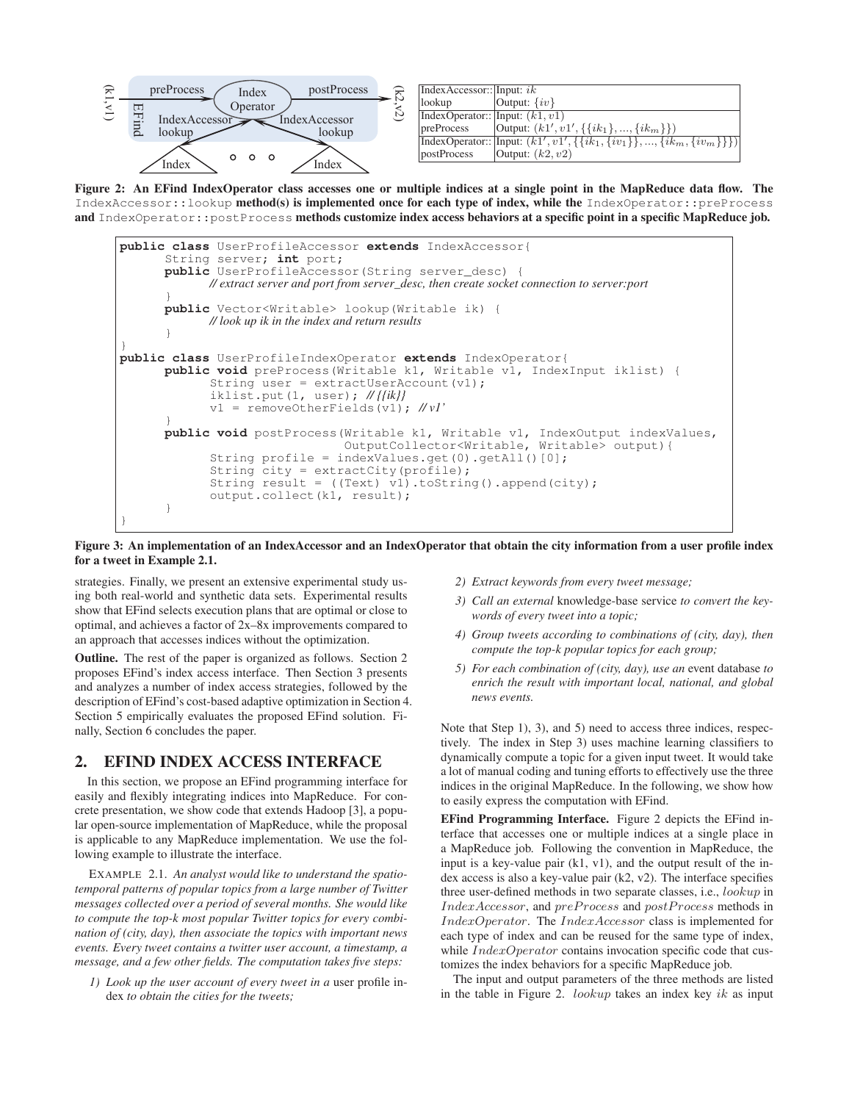

**Figure 2: An EFind IndexOperator class accesses one or multiple indices at a single point in the MapReduce data flow. The** IndexAccessor::lookup **method(s) is implemented once for each type of index, while the** IndexOperator::preProcess **and** IndexOperator::postProcess **methods customize index access behaviors at a specific point in a specific MapReduce job.**



**Figure 3: An implementation of an IndexAccessor and an IndexOperator that obtain the city information from a user profile index for a tweet in Example 2.1.**

strategies. Finally, we present an extensive experimental study using both real-world and synthetic data sets. Experimental results show that EFind selects execution plans that are optimal or close to optimal, and achieves a factor of 2x–8x improvements compared to an approach that accesses indices without the optimization.

**Outline.** The rest of the paper is organized as follows. Section 2 proposes EFind's index access interface. Then Section 3 presents and analyzes a number of index access strategies, followed by the description of EFind's cost-based adaptive optimization in Section 4. Section 5 empirically evaluates the proposed EFind solution. Finally, Section 6 concludes the paper.

# **2. EFIND INDEX ACCESS INTERFACE**

In this section, we propose an EFind programming interface for easily and flexibly integrating indices into MapReduce. For concrete presentation, we show code that extends Hadoop [3], a popular open-source implementation of MapReduce, while the proposal is applicable to any MapReduce implementation. We use the following example to illustrate the interface.

EXAMPLE 2.1. *An analyst would like to understand the spatiotemporal patterns of popular topics from a large number of Twitter messages collected over a period of several months. She would like to compute the top-k most popular Twitter topics for every combination of (city, day), then associate the topics with important news events. Every tweet contains a twitter user account, a timestamp, a message, and a few other fields. The computation takes five steps:*

*1) Look up the user account of every tweet in a* user profile index *to obtain the cities for the tweets;*

- *2) Extract keywords from every tweet message;*
- *3) Call an external* knowledge-base service *to convert the keywords of every tweet into a topic;*
- *4) Group tweets according to combinations of (city, day), then compute the top-k popular topics for each group;*
- *5) For each combination of (city, day), use an* event database *to enrich the result with important local, national, and global news events.*

Note that Step 1), 3), and 5) need to access three indices, respectively. The index in Step 3) uses machine learning classifiers to dynamically compute a topic for a given input tweet. It would take a lot of manual coding and tuning efforts to effectively use the three indices in the original MapReduce. In the following, we show how to easily express the computation with EFind.

**EFind Programming Interface.** Figure 2 depicts the EFind interface that accesses one or multiple indices at a single place in a MapReduce job. Following the convention in MapReduce, the input is a key-value pair  $(k1, v1)$ , and the output result of the index access is also a key-value pair (k2, v2). The interface specifies three user-defined methods in two separate classes, i.e., lookup in IndexAccessor, and preProcess and postProcess methods in IndexOperator. The IndexAccessor class is implemented for each type of index and can be reused for the same type of index, while *IndexOperator* contains invocation specific code that customizes the index behaviors for a specific MapReduce job.

The input and output parameters of the three methods are listed in the table in Figure 2. *lookup* takes an index key ik as input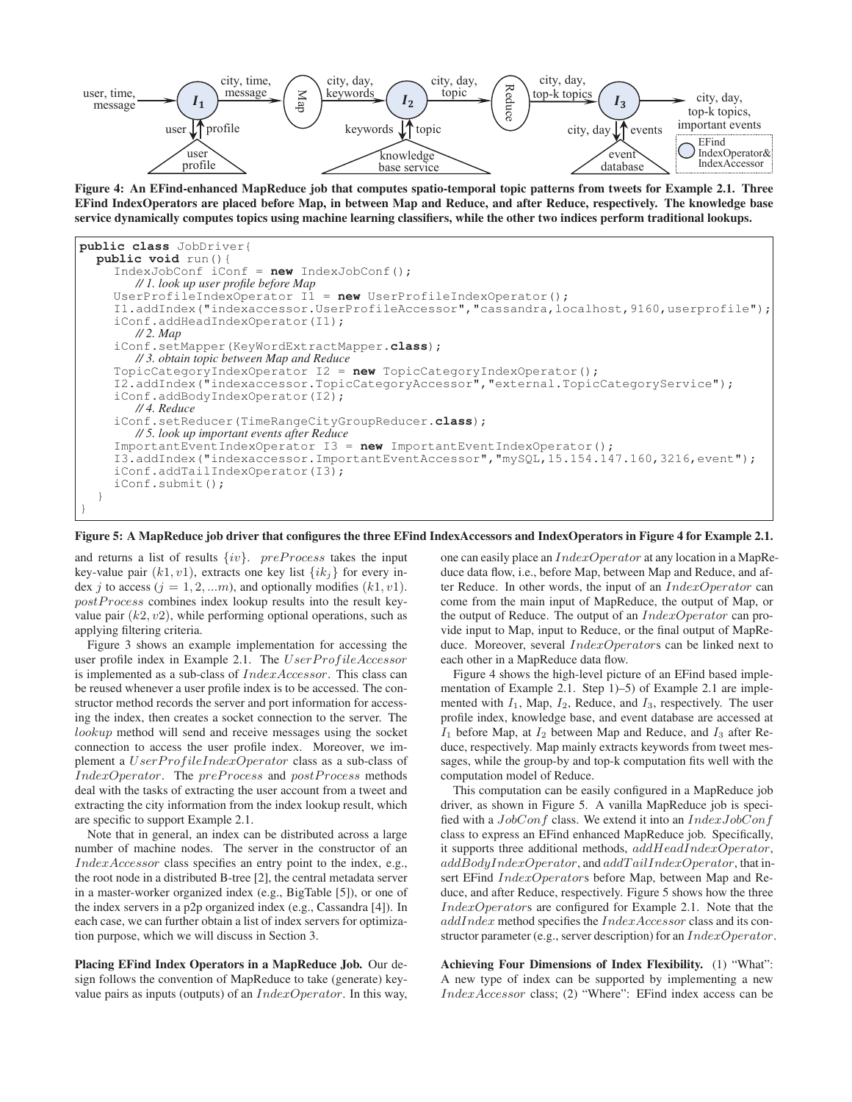

**Figure 4: An EFind-enhanced MapReduce job that computes spatio-temporal topic patterns from tweets for Example 2.1. Three EFind IndexOperators are placed before Map, in between Map and Reduce, and after Reduce, respectively. The knowledge base service dynamically computes topics using machine learning classifiers, while the other two indices perform traditional lookups.**



**Figure 5: A MapReduce job driver that configures the three EFind IndexAccessors and IndexOperators in Figure 4 for Example 2.1.**

and returns a list of results  $\{iv\}$ . preProcess takes the input key-value pair  $(k1, v1)$ , extracts one key list  $\{ik_i\}$  for every index j to access  $(j = 1, 2, ...m)$ , and optionally modifies  $(k1, v1)$ .  $postProcess$  combines index lookup results into the result keyvalue pair  $(k2, v2)$ , while performing optional operations, such as applying filtering criteria.

Figure 3 shows an example implementation for accessing the user profile index in Example 2.1. The UserProfileAccessor is implemented as a sub-class of IndexAccessor. This class can be reused whenever a user profile index is to be accessed. The constructor method records the server and port information for accessing the index, then creates a socket connection to the server. The lookup method will send and receive messages using the socket connection to access the user profile index. Moreover, we implement a  $UserProfileIndexOperator$  class as a sub-class of IndexOperator. The preProcess and postProcess methods deal with the tasks of extracting the user account from a tweet and extracting the city information from the index lookup result, which are specific to support Example 2.1.

Note that in general, an index can be distributed across a large number of machine nodes. The server in the constructor of an IndexAccessor class specifies an entry point to the index, e.g., the root node in a distributed B-tree [2], the central metadata server in a master-worker organized index (e.g., BigTable [5]), or one of the index servers in a p2p organized index (e.g., Cassandra [4]). In each case, we can further obtain a list of index servers for optimization purpose, which we will discuss in Section 3.

**Placing EFind Index Operators in a MapReduce Job.** Our design follows the convention of MapReduce to take (generate) keyvalue pairs as inputs (outputs) of an  $IndexOperator$ . In this way, one can easily place an IndexOperator at any location in a MapReduce data flow, i.e., before Map, between Map and Reduce, and after Reduce. In other words, the input of an IndexOperator can come from the main input of MapReduce, the output of Map, or the output of Reduce. The output of an *IndexOperator* can provide input to Map, input to Reduce, or the final output of MapReduce. Moreover, several IndexOperators can be linked next to each other in a MapReduce data flow.

Figure 4 shows the high-level picture of an EFind based implementation of Example 2.1. Step 1)–5) of Example 2.1 are implemented with  $I_1$ , Map,  $I_2$ , Reduce, and  $I_3$ , respectively. The user profile index, knowledge base, and event database are accessed at  $I_1$  before Map, at  $I_2$  between Map and Reduce, and  $I_3$  after Reduce, respectively. Map mainly extracts keywords from tweet messages, while the group-by and top-k computation fits well with the computation model of Reduce.

This computation can be easily configured in a MapReduce job driver, as shown in Figure 5. A vanilla MapReduce job is specified with a  $JobConf$  class. We extend it into an  $IndexJobConf$ class to express an EFind enhanced MapReduce job. Specifically, it supports three additional methods,  $addHeadIndexOperator$ ,  $addBodyIndexOperator$ , and  $addTailIndexOperator$ , that insert EFind *IndexOperators* before Map, between Map and Reduce, and after Reduce, respectively. Figure 5 shows how the three IndexOperators are configured for Example 2.1. Note that the addIndex method specifies the IndexAccessor class and its constructor parameter (e.g., server description) for an  $IndexOperator$ .

**Achieving Four Dimensions of Index Flexibility.** (1) "What": A new type of index can be supported by implementing a new IndexAccessor class; (2) "Where": EFind index access can be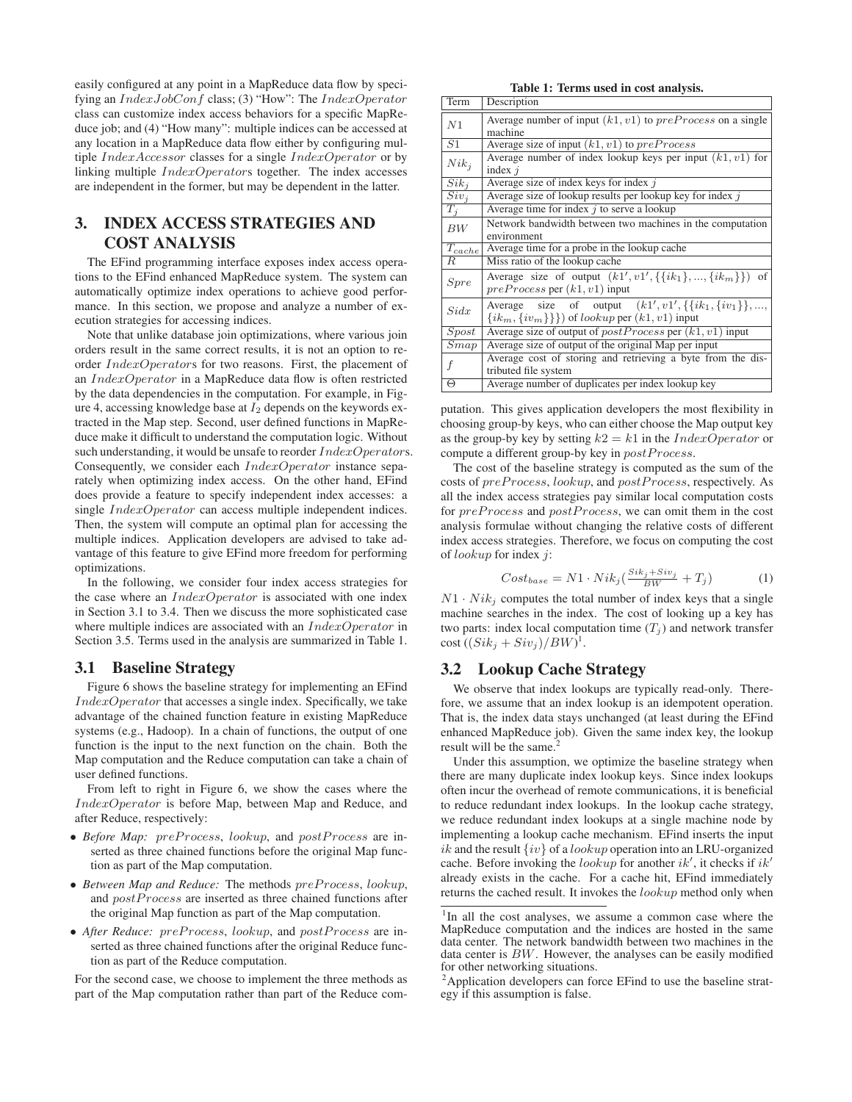easily configured at any point in a MapReduce data flow by specifying an IndexJobConf class; (3) "How": The IndexOperator class can customize index access behaviors for a specific MapReduce job; and (4) "How many": multiple indices can be accessed at any location in a MapReduce data flow either by configuring multiple IndexAccessor classes for a single IndexOperator or by linking multiple IndexOperators together. The index accesses are independent in the former, but may be dependent in the latter.

# **3. INDEX ACCESS STRATEGIES AND COST ANALYSIS**

The EFind programming interface exposes index access operations to the EFind enhanced MapReduce system. The system can automatically optimize index operations to achieve good performance. In this section, we propose and analyze a number of execution strategies for accessing indices.

Note that unlike database join optimizations, where various join orders result in the same correct results, it is not an option to reorder IndexOperators for two reasons. First, the placement of an IndexOperator in a MapReduce data flow is often restricted by the data dependencies in the computation. For example, in Figure 4, accessing knowledge base at  $I_2$  depends on the keywords extracted in the Map step. Second, user defined functions in MapReduce make it difficult to understand the computation logic. Without such understanding, it would be unsafe to reorder  $Index Operators$ . Consequently, we consider each IndexOperator instance separately when optimizing index access. On the other hand, EFind does provide a feature to specify independent index accesses: a single *IndexOperator* can access multiple independent indices. Then, the system will compute an optimal plan for accessing the multiple indices. Application developers are advised to take advantage of this feature to give EFind more freedom for performing optimizations.

In the following, we consider four index access strategies for the case where an  $IndexOperator$  is associated with one index in Section 3.1 to 3.4. Then we discuss the more sophisticated case where multiple indices are associated with an *IndexOperator* in Section 3.5. Terms used in the analysis are summarized in Table 1.

### **3.1 Baseline Strategy**

Figure 6 shows the baseline strategy for implementing an EFind  $IndexOperator$  that accesses a single index. Specifically, we take advantage of the chained function feature in existing MapReduce systems (e.g., Hadoop). In a chain of functions, the output of one function is the input to the next function on the chain. Both the Map computation and the Reduce computation can take a chain of user defined functions.

From left to right in Figure 6, we show the cases where the IndexOperator is before Map, between Map and Reduce, and after Reduce, respectively:

- *Before Map: preProcess, lookup, and postProcess are in*serted as three chained functions before the original Map function as part of the Map computation.
- Between Map and Reduce: The methods  $preProcess, lookup,$ and *postProcess* are inserted as three chained functions after the original Map function as part of the Map computation.
- After Reduce: preProcess, lookup, and postProcess are inserted as three chained functions after the original Reduce function as part of the Reduce computation.

For the second case, we choose to implement the three methods as part of the Map computation rather than part of the Reduce com-

**Table 1: Terms used in cost analysis.**

| Term        | Description                                                                                                                        |
|-------------|------------------------------------------------------------------------------------------------------------------------------------|
| N1          | Average number of input $(k1, v1)$ to $preProcess$ on a single<br>machine                                                          |
| S1          | Average size of input $(k1, v1)$ to $preProcess$                                                                                   |
| $Nik_j$     | Average number of index lookup keys per input $(k1, v1)$ for<br>index $i$                                                          |
| $Sik_i$     | Average size of index keys for index $j$                                                                                           |
| $Siv_i$     | Average size of lookup results per lookup key for index $j$                                                                        |
| $T_j$       | Average time for index $j$ to serve a lookup                                                                                       |
| BW          | Network bandwidth between two machines in the computation                                                                          |
|             | environment<br>Average time for a probe in the lookup cache                                                                        |
| $T_{cache}$ |                                                                                                                                    |
| R           | Miss ratio of the lookup cache                                                                                                     |
| Spre        | Average size of output $(k1', v1', \{\{ik_1\}, , \{ik_m\}\})$ of<br>$preProcess$ per $(k1, v1)$ input                              |
| Sidx        | Average size of output $(k1', v1', \{\{ik_1, \{iv_1\}\}, \ldots,$<br>$\{ik_m, \{iv_m\}\}\}\$ of <i>lookup</i> per $(k1, v1)$ input |
| $S$ post    | Average size of output of $postProcess$ per $(k1, v1)$ input                                                                       |
| Smap        | Average size of output of the original Map per input                                                                               |
|             | Average cost of storing and retrieving a byte from the dis-                                                                        |
|             | tributed file system                                                                                                               |
| Θ           | Average number of duplicates per index lookup key                                                                                  |

putation. This gives application developers the most flexibility in choosing group-by keys, who can either choose the Map output key as the group-by key by setting  $k2 = k1$  in the *IndexOperator* or compute a different group-by key in  $postProcess$ .

The cost of the baseline strategy is computed as the sum of the costs of  $preProcess, lookup,$  and  $postProcess$ , respectively. As all the index access strategies pay similar local computation costs for  $preProcess$  and  $postProcess$ , we can omit them in the cost analysis formulae without changing the relative costs of different index access strategies. Therefore, we focus on computing the cost of lookup for index j:

$$
Cost_{base} = N1 \cdot Nik_j(\frac{Sik_j + Siv_j}{BW} + T_j)
$$
 (1)

 $N1 \cdot N i k_i$  computes the total number of index keys that a single machine searches in the index. The cost of looking up a key has two parts: index local computation time  $(T_j)$  and network transfer  $\cot\left((Sik_j+Siv_j)/BW\right)^1$ .

# **3.2 Lookup Cache Strategy**

We observe that index lookups are typically read-only. Therefore, we assume that an index lookup is an idempotent operation. That is, the index data stays unchanged (at least during the EFind enhanced MapReduce job). Given the same index key, the lookup result will be the same.<sup>2</sup>

Under this assumption, we optimize the baseline strategy when there are many duplicate index lookup keys. Since index lookups often incur the overhead of remote communications, it is beneficial to reduce redundant index lookups. In the lookup cache strategy, we reduce redundant index lookups at a single machine node by implementing a lookup cache mechanism. EFind inserts the input ik and the result  $\{iv\}$  of a *lookup* operation into an LRU-organized cache. Before invoking the lookup for another  $ik'$ , it checks if  $ik'$ already exists in the cache. For a cache hit, EFind immediately returns the cached result. It invokes the lookup method only when

<sup>&</sup>lt;sup>1</sup>In all the cost analyses, we assume a common case where the MapReduce computation and the indices are hosted in the same data center. The network bandwidth between two machines in the data center is BW. However, the analyses can be easily modified for other networking situations.

<sup>&</sup>lt;sup>2</sup>Application developers can force EFind to use the baseline strategy if this assumption is false.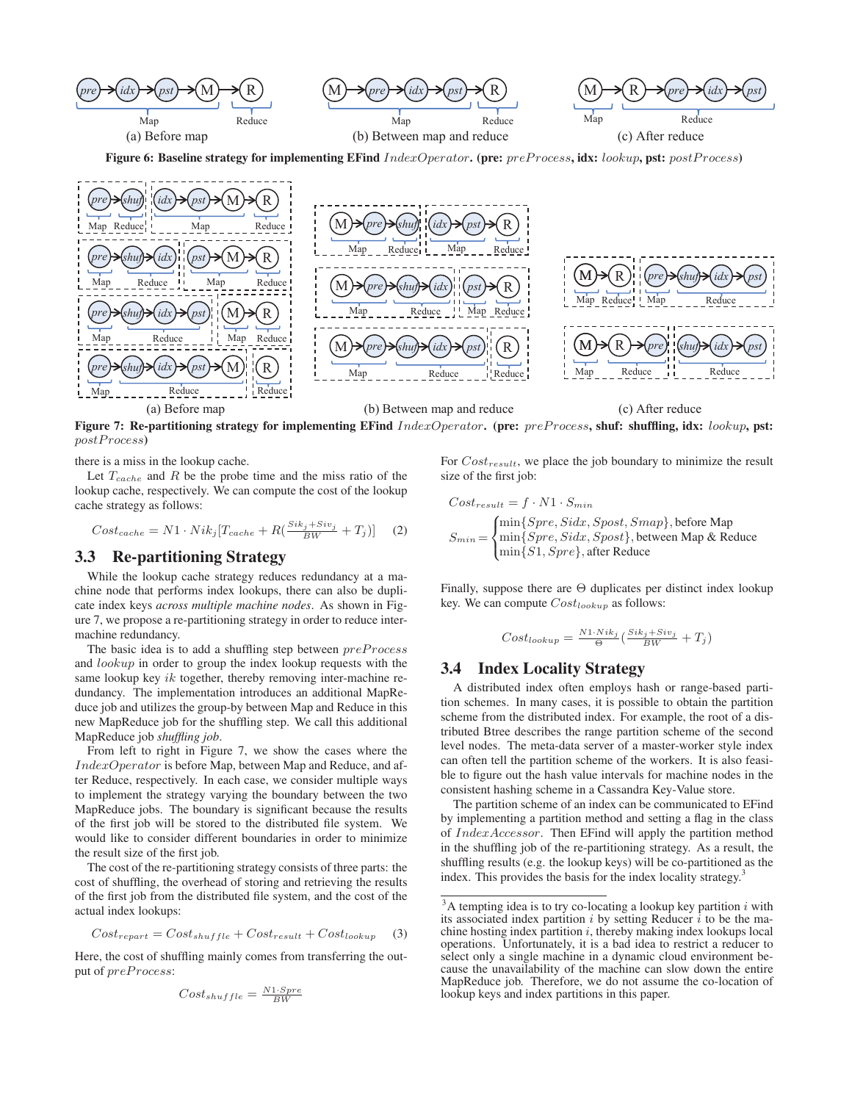

**Figure 6: Baseline strategy for implementing EFind** IndexOperator**. (pre:** preP rocess**, idx:** lookup**, pst:** postP rocess**)**



**Figure 7: Re-partitioning strategy for implementing EFind** IndexOperator**. (pre:** preP rocess**, shuf: shuffling, idx:** lookup**, pst:** postP rocess**)**

there is a miss in the lookup cache.

Let  $T_{cache}$  and R be the probe time and the miss ratio of the lookup cache, respectively. We can compute the cost of the lookup cache strategy as follows:

$$
Cost_{cache} = N1 \cdot Nik_j[T_{cache} + R(\frac{Si_{kj} + Siv_j}{BW} + T_j)]
$$
 (2)

# **3.3 Re-partitioning Strategy**

While the lookup cache strategy reduces redundancy at a machine node that performs index lookups, there can also be duplicate index keys *across multiple machine nodes*. As shown in Figure 7, we propose a re-partitioning strategy in order to reduce intermachine redundancy.

The basic idea is to add a shuffling step between  $preProcess$ and lookup in order to group the index lookup requests with the same lookup key  $ik$  together, thereby removing inter-machine redundancy. The implementation introduces an additional MapReduce job and utilizes the group-by between Map and Reduce in this new MapReduce job for the shuffling step. We call this additional MapReduce job *shuffling job*.

From left to right in Figure 7, we show the cases where the IndexOperator is before Map, between Map and Reduce, and after Reduce, respectively. In each case, we consider multiple ways to implement the strategy varying the boundary between the two MapReduce jobs. The boundary is significant because the results of the first job will be stored to the distributed file system. We would like to consider different boundaries in order to minimize the result size of the first job.

The cost of the re-partitioning strategy consists of three parts: the cost of shuffling, the overhead of storing and retrieving the results of the first job from the distributed file system, and the cost of the actual index lookups:

$$
Cost_{repart} = Cost_{shuffle} + Cost_{result} + Cost_{lookup} \quad (3)
$$

Here, the cost of shuffling mainly comes from transferring the output of  $preProcess$ :

$$
Cost_{shuffle} = \frac{N1 \cdot Spre}{BW}
$$

For  $Cost_{result}$ , we place the job boundary to minimize the result size of the first job:

$$
Cost_{result} = f \cdot N1 \cdot S_{min}
$$
  
\n
$$
S_{min} = \begin{cases} \min\{Spec, Sidx, Spost, Smap\}, \text{before Map} \\ \min\{Spec, Sidx, Spost\}, \text{between Map & Reduce} \\ \min\{S1, Spre\}, \text{after Reduce} \end{cases}
$$

Finally, suppose there are Θ duplicates per distinct index lookup key. We can compute  $Cost_{lookup}$  as follows:

$$
Cost_{lookup} = \frac{N1 \cdot N i k_j}{\Theta} \left( \frac{S i k_j + S i v_j}{BW} + T_j \right)
$$

# **3.4 Index Locality Strategy**

A distributed index often employs hash or range-based partition schemes. In many cases, it is possible to obtain the partition scheme from the distributed index. For example, the root of a distributed Btree describes the range partition scheme of the second level nodes. The meta-data server of a master-worker style index can often tell the partition scheme of the workers. It is also feasible to figure out the hash value intervals for machine nodes in the consistent hashing scheme in a Cassandra Key-Value store.

The partition scheme of an index can be communicated to EFind by implementing a partition method and setting a flag in the class of IndexAccessor. Then EFind will apply the partition method in the shuffling job of the re-partitioning strategy. As a result, the shuffling results (e.g. the lookup keys) will be co-partitioned as the index. This provides the basis for the index locality strategy.<sup>3</sup>

 $3A$  tempting idea is to try co-locating a lookup key partition i with its associated index partition  $i$  by setting Reducer  $i$  to be the machine hosting index partition  $i$ , thereby making index lookups local operations. Unfortunately, it is a bad idea to restrict a reducer to select only a single machine in a dynamic cloud environment because the unavailability of the machine can slow down the entire MapReduce job. Therefore, we do not assume the co-location of lookup keys and index partitions in this paper.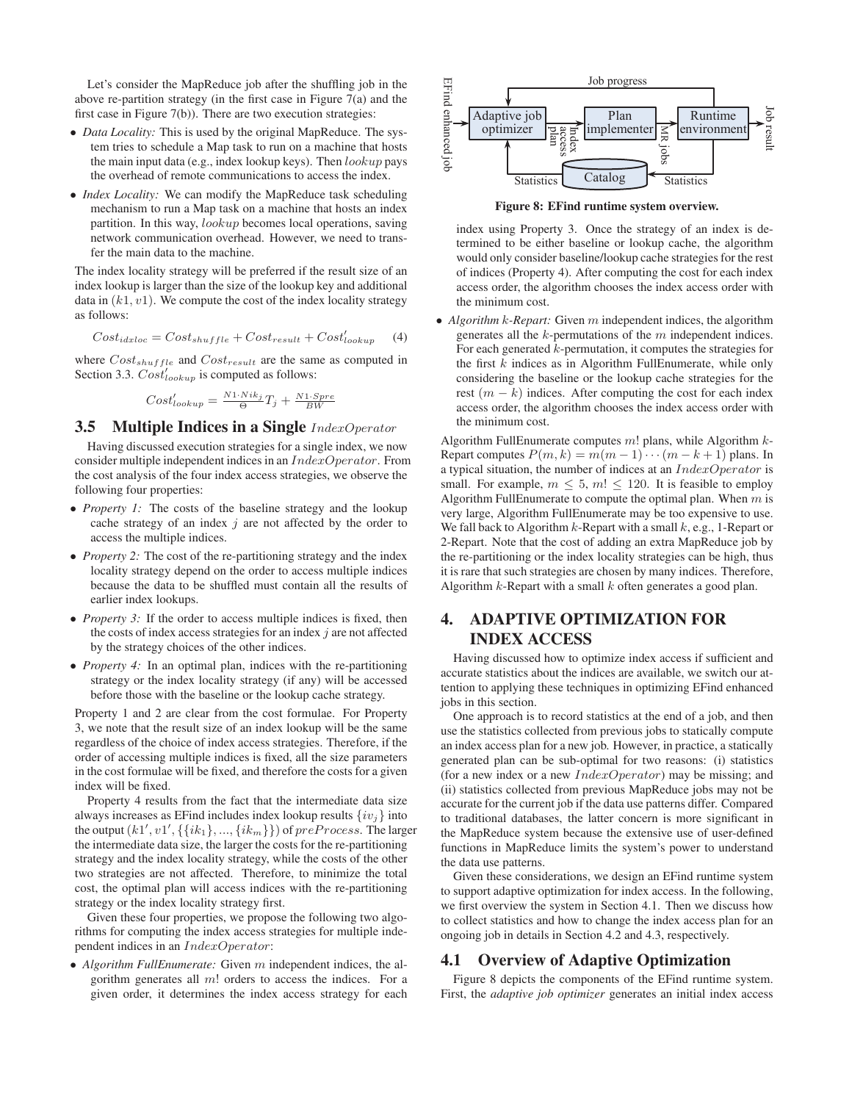Let's consider the MapReduce job after the shuffling job in the above re-partition strategy (in the first case in Figure 7(a) and the first case in Figure 7(b)). There are two execution strategies:

- *Data Locality:* This is used by the original MapReduce. The system tries to schedule a Map task to run on a machine that hosts the main input data (e.g., index lookup keys). Then  $lookup$  pays the overhead of remote communications to access the index.
- *Index Locality:* We can modify the MapReduce task scheduling mechanism to run a Map task on a machine that hosts an index partition. In this way, lookup becomes local operations, saving network communication overhead. However, we need to transfer the main data to the machine.

The index locality strategy will be preferred if the result size of an index lookup is larger than the size of the lookup key and additional data in  $(k1, v1)$ . We compute the cost of the index locality strategy as follows:

$$
Cost_{idxloc} = Cost_{shuffle} + Cost_{result} + Cost'_{lookup} \tag{4}
$$

where  $Cost_{shuffle}$  and  $Cost_{result}$  are the same as computed in Section 3.3.  $Cost'_{lookup}$  is computed as follows:

$$
Cost'_{lookup} = \frac{N1 \cdot Nik_j}{\Theta} T_j + \frac{N1 \cdot Spre}{BW}
$$

# **3.5 Multiple Indices in a Single** IndexOperator

Having discussed execution strategies for a single index, we now consider multiple independent indices in an IndexOperator. From the cost analysis of the four index access strategies, we observe the following four properties:

- *Property 1:* The costs of the baseline strategy and the lookup cache strategy of an index  $j$  are not affected by the order to access the multiple indices.
- *Property 2:* The cost of the re-partitioning strategy and the index locality strategy depend on the order to access multiple indices because the data to be shuffled must contain all the results of earlier index lookups.
- *Property 3:* If the order to access multiple indices is fixed, then the costs of index access strategies for an index  $j$  are not affected by the strategy choices of the other indices.
- *Property 4:* In an optimal plan, indices with the re-partitioning strategy or the index locality strategy (if any) will be accessed before those with the baseline or the lookup cache strategy.

Property 1 and 2 are clear from the cost formulae. For Property 3, we note that the result size of an index lookup will be the same regardless of the choice of index access strategies. Therefore, if the order of accessing multiple indices is fixed, all the size parameters in the cost formulae will be fixed, and therefore the costs for a given index will be fixed.

Property 4 results from the fact that the intermediate data size always increases as EFind includes index lookup results  $\{iv_i\}$  into the output  $(k1', v1', \{\{ik_1\}, ..., \{ik_m\}\})$  of  $preProcess$ . The larger the intermediate data size, the larger the costs for the re-partitioning strategy and the index locality strategy, while the costs of the other two strategies are not affected. Therefore, to minimize the total cost, the optimal plan will access indices with the re-partitioning strategy or the index locality strategy first.

Given these four properties, we propose the following two algorithms for computing the index access strategies for multiple independent indices in an IndexOperator:

• *Algorithm FullEnumerate:* Given m independent indices, the algorithm generates all  $m!$  orders to access the indices. For a given order, it determines the index access strategy for each



**Figure 8: EFind runtime system overview.**

index using Property 3. Once the strategy of an index is determined to be either baseline or lookup cache, the algorithm would only consider baseline/lookup cache strategies for the rest of indices (Property 4). After computing the cost for each index access order, the algorithm chooses the index access order with the minimum cost.

• *Algorithm* k*-Repart:* Given m independent indices, the algorithm generates all the  $k$ -permutations of the  $m$  independent indices. For each generated k-permutation, it computes the strategies for the first  $k$  indices as in Algorithm FullEnumerate, while only considering the baseline or the lookup cache strategies for the rest  $(m - k)$  indices. After computing the cost for each index access order, the algorithm chooses the index access order with the minimum cost.

Algorithm FullEnumerate computes  $m!$  plans, while Algorithm  $k$ -Repart computes  $P(m, k) = m(m - 1) \cdots (m - k + 1)$  plans. In a typical situation, the number of indices at an IndexOperator is small. For example,  $m \leq 5$ ,  $m! \leq 120$ . It is feasible to employ Algorithm FullEnumerate to compute the optimal plan. When  $m$  is very large, Algorithm FullEnumerate may be too expensive to use. We fall back to Algorithm  $k$ -Repart with a small  $k$ , e.g., 1-Repart or 2-Repart. Note that the cost of adding an extra MapReduce job by the re-partitioning or the index locality strategies can be high, thus it is rare that such strategies are chosen by many indices. Therefore, Algorithm  $k$ -Repart with a small  $k$  often generates a good plan.

# **4. ADAPTIVE OPTIMIZATION FOR INDEX ACCESS**

Having discussed how to optimize index access if sufficient and accurate statistics about the indices are available, we switch our attention to applying these techniques in optimizing EFind enhanced jobs in this section.

One approach is to record statistics at the end of a job, and then use the statistics collected from previous jobs to statically compute an index access plan for a new job. However, in practice, a statically generated plan can be sub-optimal for two reasons: (i) statistics (for a new index or a new  $IndexOperator$ ) may be missing; and (ii) statistics collected from previous MapReduce jobs may not be accurate for the current job if the data use patterns differ. Compared to traditional databases, the latter concern is more significant in the MapReduce system because the extensive use of user-defined functions in MapReduce limits the system's power to understand the data use patterns.

Given these considerations, we design an EFind runtime system to support adaptive optimization for index access. In the following, we first overview the system in Section 4.1. Then we discuss how to collect statistics and how to change the index access plan for an ongoing job in details in Section 4.2 and 4.3, respectively.

# **4.1 Overview of Adaptive Optimization**

Figure 8 depicts the components of the EFind runtime system. First, the *adaptive job optimizer* generates an initial index access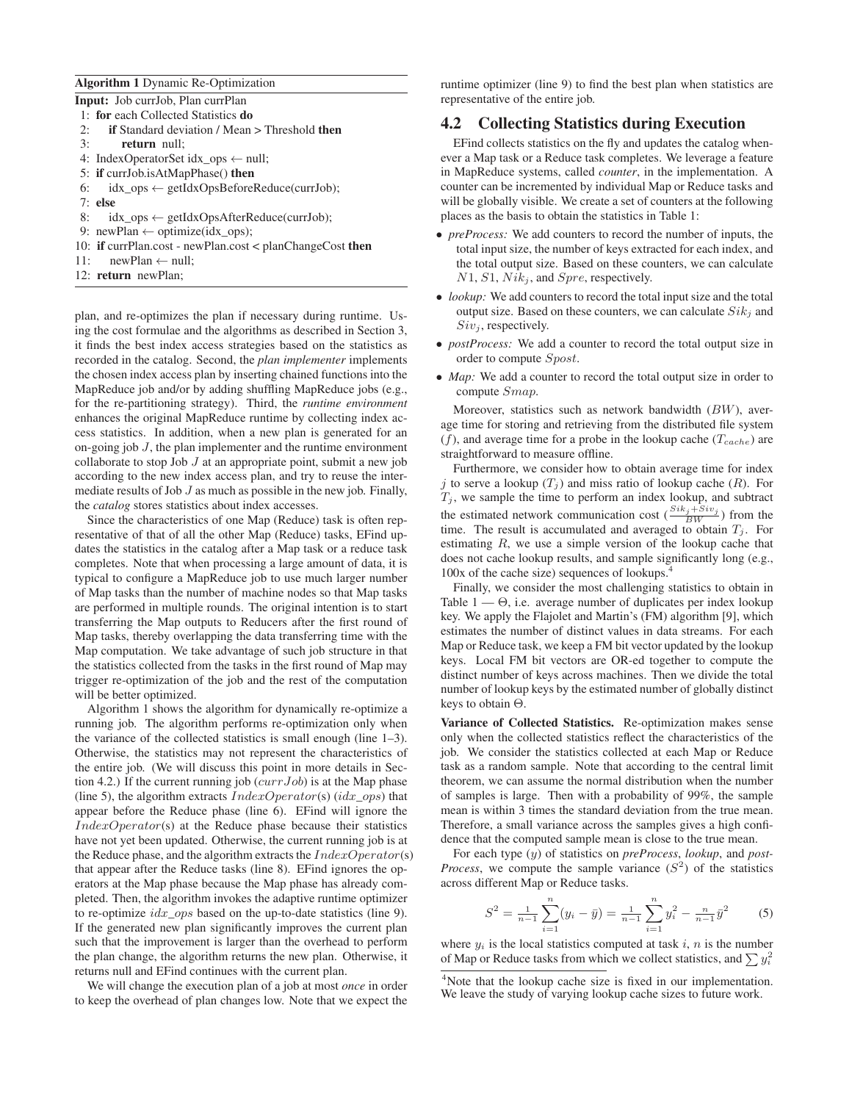#### **Algorithm 1** Dynamic Re-Optimization

|  |  |  | Input: Job currJob, Plan currPlan |  |  |
|--|--|--|-----------------------------------|--|--|
|--|--|--|-----------------------------------|--|--|

| 1: for each Collected Statistics do                               |
|-------------------------------------------------------------------|
| <b>if</b> Standard deviation / Mean > Threshold <b>then</b><br>2: |
| 3: return null:                                                   |
| 4: IndexOperatorSet idx_ops ← null;                               |
| 5: if currJob.isAtMapPhase() then                                 |
| 6: $idx\_ops \leftarrow getIdxOpsBeforeReduce(currJob);$          |
| $7:$ else                                                         |
|                                                                   |

8: 
$$
\text{idx\_ops} \leftarrow \text{getIdxOpsAfterReduce}(\text{currJob});
$$

9: newPlan  $\leftarrow$  optimize(idx\_ops);

10: **if** currPlan.cost - newPlan.cost < planChangeCost **then**

- 11:  $newPlan \leftarrow null;$
- 12: **return** newPlan;

plan, and re-optimizes the plan if necessary during runtime. Using the cost formulae and the algorithms as described in Section 3, it finds the best index access strategies based on the statistics as recorded in the catalog. Second, the *plan implementer* implements the chosen index access plan by inserting chained functions into the MapReduce job and/or by adding shuffling MapReduce jobs (e.g., for the re-partitioning strategy). Third, the *runtime environment* enhances the original MapReduce runtime by collecting index access statistics. In addition, when a new plan is generated for an on-going job  $J$ , the plan implementer and the runtime environment collaborate to stop Job  $J$  at an appropriate point, submit a new job according to the new index access plan, and try to reuse the intermediate results of Job  $J$  as much as possible in the new job. Finally, the *catalog* stores statistics about index accesses.

Since the characteristics of one Map (Reduce) task is often representative of that of all the other Map (Reduce) tasks, EFind updates the statistics in the catalog after a Map task or a reduce task completes. Note that when processing a large amount of data, it is typical to configure a MapReduce job to use much larger number of Map tasks than the number of machine nodes so that Map tasks are performed in multiple rounds. The original intention is to start transferring the Map outputs to Reducers after the first round of Map tasks, thereby overlapping the data transferring time with the Map computation. We take advantage of such job structure in that the statistics collected from the tasks in the first round of Map may trigger re-optimization of the job and the rest of the computation will be better optimized.

Algorithm 1 shows the algorithm for dynamically re-optimize a running job. The algorithm performs re-optimization only when the variance of the collected statistics is small enough (line 1–3). Otherwise, the statistics may not represent the characteristics of the entire job. (We will discuss this point in more details in Section 4.2.) If the current running job  $(currJob)$  is at the Map phase (line 5), the algorithm extracts  $IndexOperator(s)$  ( $idx\_ops$ ) that appear before the Reduce phase (line 6). EFind will ignore the  $IndexOperator(s)$  at the Reduce phase because their statistics have not yet been updated. Otherwise, the current running job is at the Reduce phase, and the algorithm extracts the  $IndexOperator(s)$ that appear after the Reduce tasks (line 8). EFind ignores the operators at the Map phase because the Map phase has already completed. Then, the algorithm invokes the adaptive runtime optimizer to re-optimize  $idx\_ops$  based on the up-to-date statistics (line 9). If the generated new plan significantly improves the current plan such that the improvement is larger than the overhead to perform the plan change, the algorithm returns the new plan. Otherwise, it returns null and EFind continues with the current plan.

We will change the execution plan of a job at most *once* in order to keep the overhead of plan changes low. Note that we expect the runtime optimizer (line 9) to find the best plan when statistics are representative of the entire job.

# **4.2 Collecting Statistics during Execution**

EFind collects statistics on the fly and updates the catalog whenever a Map task or a Reduce task completes. We leverage a feature in MapReduce systems, called *counter*, in the implementation. A counter can be incremented by individual Map or Reduce tasks and will be globally visible. We create a set of counters at the following places as the basis to obtain the statistics in Table 1:

- *preProcess:* We add counters to record the number of inputs, the total input size, the number of keys extracted for each index, and the total output size. Based on these counters, we can calculate  $N1$ ,  $S1$ ,  $Nik_j$ , and  $Spre$ , respectively.
- *lookup:* We add counters to record the total input size and the total output size. Based on these counters, we can calculate  $Sik_j$  and  $Siv_i$ , respectively.
- *postProcess:* We add a counter to record the total output size in order to compute Spost.
- *Map*: We add a counter to record the total output size in order to compute Smap.

Moreover, statistics such as network bandwidth  $(BW)$ , average time for storing and retrieving from the distributed file system  $(f)$ , and average time for a probe in the lookup cache  $(T_{cache})$  are straightforward to measure offline.

Furthermore, we consider how to obtain average time for index j to serve a lookup  $(T_j)$  and miss ratio of lookup cache  $(R)$ . For  $T_j$ , we sample the time to perform an index lookup, and subtract the estimated network communication cost  $(\frac{Sik_j+Siv_j}{BW})$  from the time. The result is accumulated and averaged to obtain  $T_j$ . For estimating  $R$ , we use a simple version of the lookup cache that does not cache lookup results, and sample significantly long (e.g., 100x of the cache size) sequences of lookups.<sup>4</sup>

Finally, we consider the most challenging statistics to obtain in Table  $1 - \Theta$ , i.e. average number of duplicates per index lookup key. We apply the Flajolet and Martin's (FM) algorithm [9], which estimates the number of distinct values in data streams. For each Map or Reduce task, we keep a FM bit vector updated by the lookup keys. Local FM bit vectors are OR-ed together to compute the distinct number of keys across machines. Then we divide the total number of lookup keys by the estimated number of globally distinct keys to obtain Θ.

**Variance of Collected Statistics.** Re-optimization makes sense only when the collected statistics reflect the characteristics of the job. We consider the statistics collected at each Map or Reduce task as a random sample. Note that according to the central limit theorem, we can assume the normal distribution when the number of samples is large. Then with a probability of 99%, the sample mean is within 3 times the standard deviation from the true mean. Therefore, a small variance across the samples gives a high confidence that the computed sample mean is close to the true mean.

For each type (y) of statistics on *preProcess*, *lookup*, and *post-Process*, we compute the sample variance  $(S^2)$  of the statistics across different Map or Reduce tasks.

$$
S^{2} = \frac{1}{n-1} \sum_{i=1}^{n} (y_{i} - \bar{y}) = \frac{1}{n-1} \sum_{i=1}^{n} y_{i}^{2} - \frac{n}{n-1} \bar{y}^{2}
$$
 (5)

where  $y_i$  is the local statistics computed at task i, n is the number of Map or Reduce tasks from which we collect statistics, and  $\sum y_i^2$ 

<sup>&</sup>lt;sup>4</sup>Note that the lookup cache size is fixed in our implementation. We leave the study of varying lookup cache sizes to future work.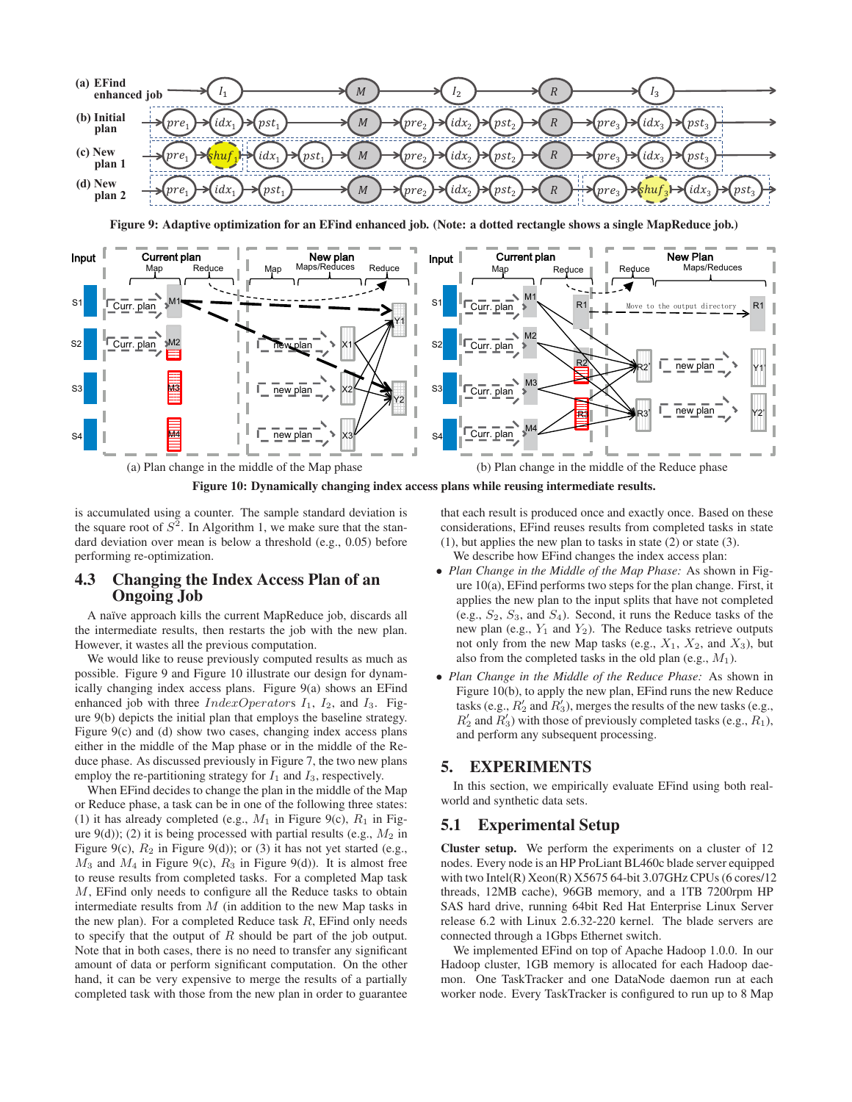

**Figure 9: Adaptive optimization for an EFind enhanced job. (Note: a dotted rectangle shows a single MapReduce job.)**



**Figure 10: Dynamically changing index access plans while reusing intermediate results.**

is accumulated using a counter. The sample standard deviation is the square root of  $S^2$ . In Algorithm 1, we make sure that the standard deviation over mean is below a threshold (e.g., 0.05) before performing re-optimization.

# **4.3 Changing the Index Access Plan of an Ongoing Job**

A naïve approach kills the current MapReduce job, discards all the intermediate results, then restarts the job with the new plan. However, it wastes all the previous computation.

We would like to reuse previously computed results as much as possible. Figure 9 and Figure 10 illustrate our design for dynamically changing index access plans. Figure 9(a) shows an EFind enhanced job with three  $IndexOperatorS$   $I_1$ ,  $I_2$ , and  $I_3$ . Figure 9(b) depicts the initial plan that employs the baseline strategy. Figure 9(c) and (d) show two cases, changing index access plans either in the middle of the Map phase or in the middle of the Reduce phase. As discussed previously in Figure 7, the two new plans employ the re-partitioning strategy for  $I_1$  and  $I_3$ , respectively.

When EFind decides to change the plan in the middle of the Map or Reduce phase, a task can be in one of the following three states: (1) it has already completed (e.g.,  $M_1$  in Figure 9(c),  $R_1$  in Figure  $9(d)$ ; (2) it is being processed with partial results (e.g.,  $M_2$  in Figure 9(c),  $R_2$  in Figure 9(d)); or (3) it has not yet started (e.g.,  $M_3$  and  $M_4$  in Figure 9(c),  $R_3$  in Figure 9(d)). It is almost free to reuse results from completed tasks. For a completed Map task M, EFind only needs to configure all the Reduce tasks to obtain intermediate results from  $M$  (in addition to the new Map tasks in the new plan). For a completed Reduce task  $R$ , EFind only needs to specify that the output of  $R$  should be part of the job output. Note that in both cases, there is no need to transfer any significant amount of data or perform significant computation. On the other hand, it can be very expensive to merge the results of a partially completed task with those from the new plan in order to guarantee that each result is produced once and exactly once. Based on these considerations, EFind reuses results from completed tasks in state (1), but applies the new plan to tasks in state (2) or state (3).

We describe how EFind changes the index access plan:

- *Plan Change in the Middle of the Map Phase:* As shown in Figure 10(a), EFind performs two steps for the plan change. First, it applies the new plan to the input splits that have not completed (e.g.,  $S_2$ ,  $S_3$ , and  $S_4$ ). Second, it runs the Reduce tasks of the new plan (e.g.,  $Y_1$  and  $Y_2$ ). The Reduce tasks retrieve outputs not only from the new Map tasks (e.g.,  $X_1$ ,  $X_2$ , and  $X_3$ ), but also from the completed tasks in the old plan (e.g.,  $M_1$ ).
- *Plan Change in the Middle of the Reduce Phase:* As shown in Figure 10(b), to apply the new plan, EFind runs the new Reduce tasks (e.g.,  $R'_2$  and  $R'_3$ ), merges the results of the new tasks (e.g.,  $R'_2$  and  $R'_3$ ) with those of previously completed tasks (e.g.,  $R_1$ ), and perform any subsequent processing.

# **5. EXPERIMENTS**

In this section, we empirically evaluate EFind using both realworld and synthetic data sets.

# **5.1 Experimental Setup**

**Cluster setup.** We perform the experiments on a cluster of 12 nodes. Every node is an HP ProLiant BL460c blade server equipped with two Intel(R) Xeon(R) X5675 64-bit 3.07GHz CPUs (6 cores/12 threads, 12MB cache), 96GB memory, and a 1TB 7200rpm HP SAS hard drive, running 64bit Red Hat Enterprise Linux Server release 6.2 with Linux 2.6.32-220 kernel. The blade servers are connected through a 1Gbps Ethernet switch.

We implemented EFind on top of Apache Hadoop 1.0.0. In our Hadoop cluster, 1GB memory is allocated for each Hadoop daemon. One TaskTracker and one DataNode daemon run at each worker node. Every TaskTracker is configured to run up to 8 Map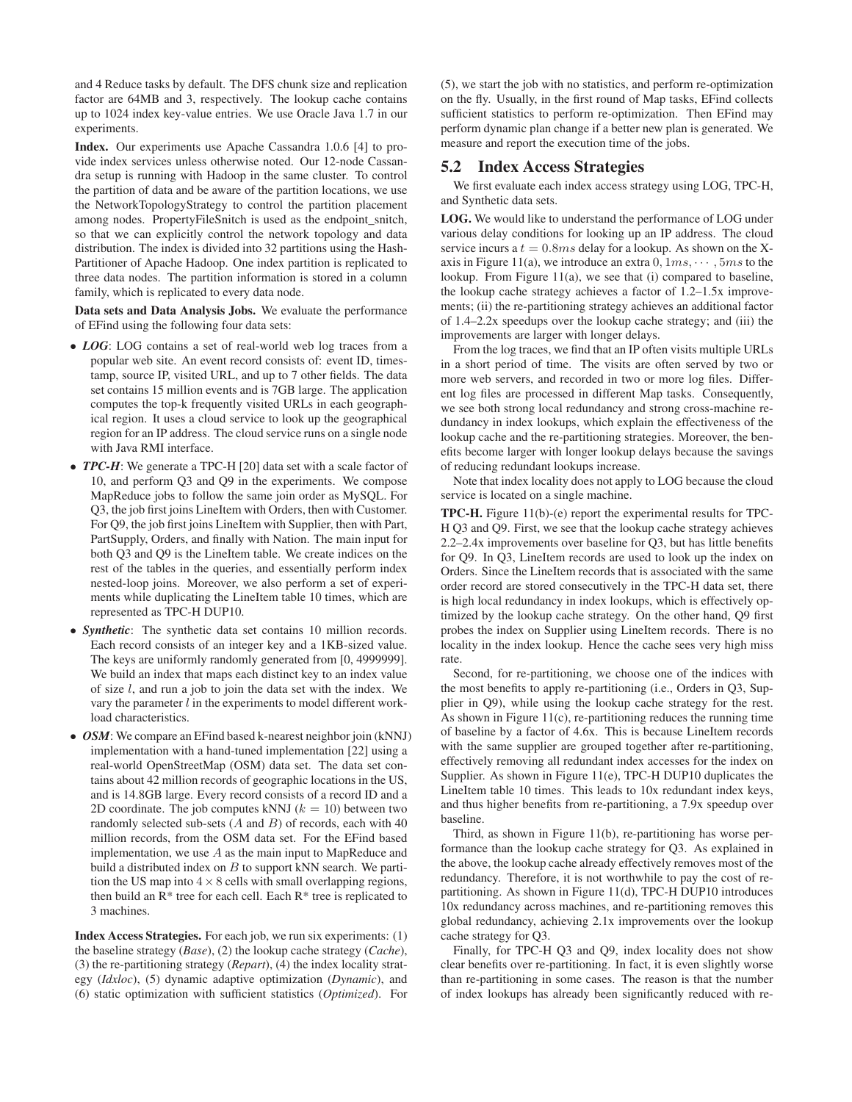and 4 Reduce tasks by default. The DFS chunk size and replication factor are 64MB and 3, respectively. The lookup cache contains up to 1024 index key-value entries. We use Oracle Java 1.7 in our experiments.

**Index.** Our experiments use Apache Cassandra 1.0.6 [4] to provide index services unless otherwise noted. Our 12-node Cassandra setup is running with Hadoop in the same cluster. To control the partition of data and be aware of the partition locations, we use the NetworkTopologyStrategy to control the partition placement among nodes. PropertyFileSnitch is used as the endpoint\_snitch, so that we can explicitly control the network topology and data distribution. The index is divided into 32 partitions using the Hash-Partitioner of Apache Hadoop. One index partition is replicated to three data nodes. The partition information is stored in a column family, which is replicated to every data node.

**Data sets and Data Analysis Jobs.** We evaluate the performance of EFind using the following four data sets:

- *LOG*: LOG contains a set of real-world web log traces from a popular web site. An event record consists of: event ID, timestamp, source IP, visited URL, and up to 7 other fields. The data set contains 15 million events and is 7GB large. The application computes the top-k frequently visited URLs in each geographical region. It uses a cloud service to look up the geographical region for an IP address. The cloud service runs on a single node with Java RMI interface.
- *TPC-H*: We generate a TPC-H [20] data set with a scale factor of 10, and perform Q3 and Q9 in the experiments. We compose MapReduce jobs to follow the same join order as MySQL. For Q3, the job first joins LineItem with Orders, then with Customer. For Q9, the job first joins LineItem with Supplier, then with Part, PartSupply, Orders, and finally with Nation. The main input for both Q3 and Q9 is the LineItem table. We create indices on the rest of the tables in the queries, and essentially perform index nested-loop joins. Moreover, we also perform a set of experiments while duplicating the LineItem table 10 times, which are represented as TPC-H DUP10.
- *Synthetic*: The synthetic data set contains 10 million records. Each record consists of an integer key and a 1KB-sized value. The keys are uniformly randomly generated from [0, 4999999]. We build an index that maps each distinct key to an index value of size  $l$ , and run a job to join the data set with the index. We vary the parameter  $l$  in the experiments to model different workload characteristics.
- *OSM*: We compare an EFind based k-nearest neighbor join (kNNJ) implementation with a hand-tuned implementation [22] using a real-world OpenStreetMap (OSM) data set. The data set contains about 42 million records of geographic locations in the US, and is 14.8GB large. Every record consists of a record ID and a 2D coordinate. The job computes kNNJ ( $k = 10$ ) between two randomly selected sub-sets  $(A \text{ and } B)$  of records, each with 40 million records, from the OSM data set. For the EFind based implementation, we use  $A$  as the main input to MapReduce and build a distributed index on  $B$  to support kNN search. We partition the US map into  $4 \times 8$  cells with small overlapping regions, then build an R\* tree for each cell. Each R\* tree is replicated to 3 machines.

**Index Access Strategies.** For each job, we run six experiments: (1) the baseline strategy (*Base*), (2) the lookup cache strategy (*Cache*), (3) the re-partitioning strategy (*Repart*), (4) the index locality strategy (*Idxloc*), (5) dynamic adaptive optimization (*Dynamic*), and (6) static optimization with sufficient statistics (*Optimized*). For (5), we start the job with no statistics, and perform re-optimization on the fly. Usually, in the first round of Map tasks, EFind collects sufficient statistics to perform re-optimization. Then EFind may perform dynamic plan change if a better new plan is generated. We measure and report the execution time of the jobs.

# **5.2 Index Access Strategies**

We first evaluate each index access strategy using LOG, TPC-H, and Synthetic data sets.

**LOG.** We would like to understand the performance of LOG under various delay conditions for looking up an IP address. The cloud service incurs a  $t = 0.8ms$  delay for a lookup. As shown on the Xaxis in Figure 11(a), we introduce an extra  $0, 1ms, \dots, 5ms$  to the lookup. From Figure 11(a), we see that (i) compared to baseline, the lookup cache strategy achieves a factor of 1.2–1.5x improvements; (ii) the re-partitioning strategy achieves an additional factor of 1.4–2.2x speedups over the lookup cache strategy; and (iii) the improvements are larger with longer delays.

From the log traces, we find that an IP often visits multiple URLs in a short period of time. The visits are often served by two or more web servers, and recorded in two or more log files. Different log files are processed in different Map tasks. Consequently, we see both strong local redundancy and strong cross-machine redundancy in index lookups, which explain the effectiveness of the lookup cache and the re-partitioning strategies. Moreover, the benefits become larger with longer lookup delays because the savings of reducing redundant lookups increase.

Note that index locality does not apply to LOG because the cloud service is located on a single machine.

**TPC-H.** Figure 11(b)-(e) report the experimental results for TPC-H Q3 and Q9. First, we see that the lookup cache strategy achieves 2.2–2.4x improvements over baseline for Q3, but has little benefits for Q9. In Q3, LineItem records are used to look up the index on Orders. Since the LineItem records that is associated with the same order record are stored consecutively in the TPC-H data set, there is high local redundancy in index lookups, which is effectively optimized by the lookup cache strategy. On the other hand, Q9 first probes the index on Supplier using LineItem records. There is no locality in the index lookup. Hence the cache sees very high miss rate.

Second, for re-partitioning, we choose one of the indices with the most benefits to apply re-partitioning (i.e., Orders in Q3, Supplier in Q9), while using the lookup cache strategy for the rest. As shown in Figure 11(c), re-partitioning reduces the running time of baseline by a factor of 4.6x. This is because LineItem records with the same supplier are grouped together after re-partitioning, effectively removing all redundant index accesses for the index on Supplier. As shown in Figure 11(e), TPC-H DUP10 duplicates the LineItem table 10 times. This leads to 10x redundant index keys, and thus higher benefits from re-partitioning, a 7.9x speedup over baseline.

Third, as shown in Figure 11(b), re-partitioning has worse performance than the lookup cache strategy for Q3. As explained in the above, the lookup cache already effectively removes most of the redundancy. Therefore, it is not worthwhile to pay the cost of repartitioning. As shown in Figure 11(d), TPC-H DUP10 introduces 10x redundancy across machines, and re-partitioning removes this global redundancy, achieving 2.1x improvements over the lookup cache strategy for Q3.

Finally, for TPC-H Q3 and Q9, index locality does not show clear benefits over re-partitioning. In fact, it is even slightly worse than re-partitioning in some cases. The reason is that the number of index lookups has already been significantly reduced with re-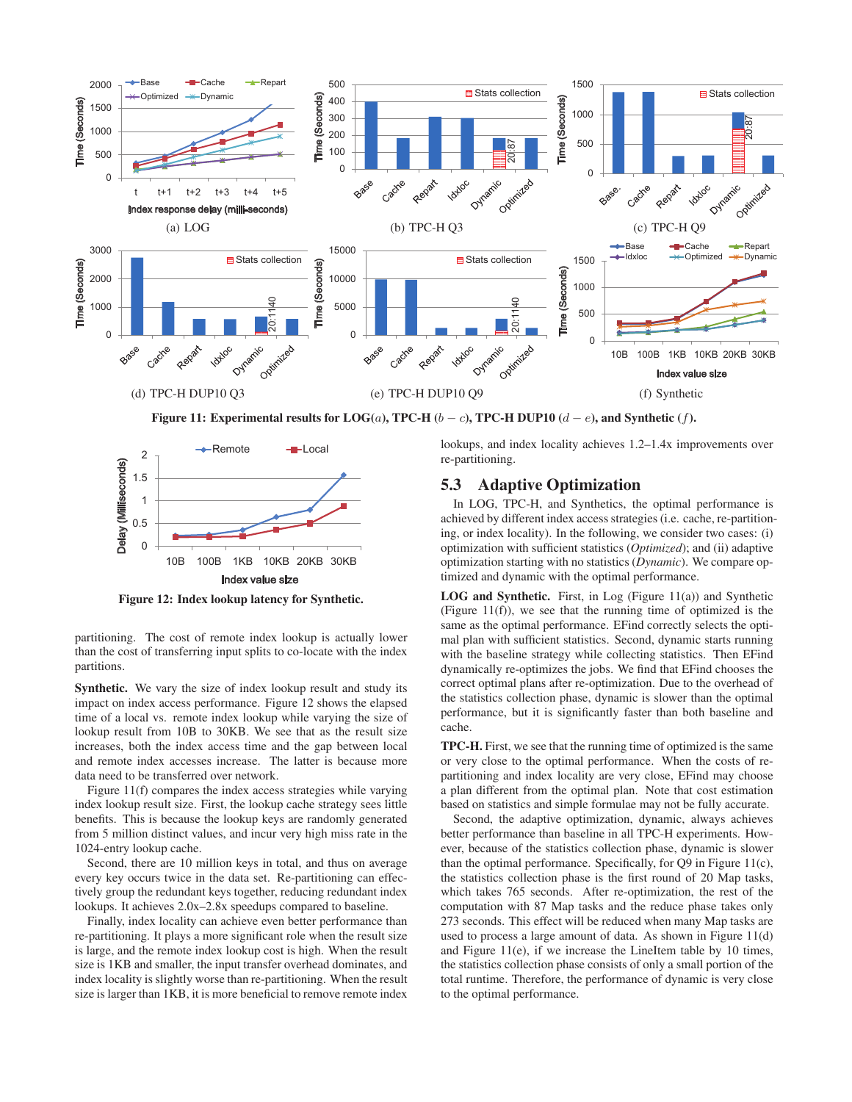

**Figure 11: Experimental results for LOG(a), TPC-H (b − c), TPC-H DUP10 (d − e), and Synthetic (f).** 



**Figure 12: Index lookup latency for Synthetic.**

partitioning. The cost of remote index lookup is actually lower than the cost of transferring input splits to co-locate with the index partitions.

**Synthetic.** We vary the size of index lookup result and study its impact on index access performance. Figure 12 shows the elapsed time of a local vs. remote index lookup while varying the size of lookup result from 10B to 30KB. We see that as the result size increases, both the index access time and the gap between local and remote index accesses increase. The latter is because more data need to be transferred over network.

Figure 11(f) compares the index access strategies while varying index lookup result size. First, the lookup cache strategy sees little benefits. This is because the lookup keys are randomly generated from 5 million distinct values, and incur very high miss rate in the 1024-entry lookup cache.

Second, there are 10 million keys in total, and thus on average every key occurs twice in the data set. Re-partitioning can effectively group the redundant keys together, reducing redundant index lookups. It achieves 2.0x–2.8x speedups compared to baseline.

Finally, index locality can achieve even better performance than re-partitioning. It plays a more significant role when the result size is large, and the remote index lookup cost is high. When the result size is 1KB and smaller, the input transfer overhead dominates, and index locality is slightly worse than re-partitioning. When the result size is larger than 1KB, it is more beneficial to remove remote index lookups, and index locality achieves 1.2–1.4x improvements over re-partitioning.

# **5.3 Adaptive Optimization**

In LOG, TPC-H, and Synthetics, the optimal performance is achieved by different index access strategies (i.e. cache, re-partitioning, or index locality). In the following, we consider two cases: (i) optimization with sufficient statistics (*Optimized*); and (ii) adaptive optimization starting with no statistics (*Dynamic*). We compare optimized and dynamic with the optimal performance.

**LOG and Synthetic.** First, in Log (Figure 11(a)) and Synthetic (Figure 11(f)), we see that the running time of optimized is the same as the optimal performance. EFind correctly selects the optimal plan with sufficient statistics. Second, dynamic starts running with the baseline strategy while collecting statistics. Then EFind dynamically re-optimizes the jobs. We find that EFind chooses the correct optimal plans after re-optimization. Due to the overhead of the statistics collection phase, dynamic is slower than the optimal performance, but it is significantly faster than both baseline and cache.

**TPC-H.** First, we see that the running time of optimized is the same or very close to the optimal performance. When the costs of repartitioning and index locality are very close, EFind may choose a plan different from the optimal plan. Note that cost estimation based on statistics and simple formulae may not be fully accurate.

Second, the adaptive optimization, dynamic, always achieves better performance than baseline in all TPC-H experiments. However, because of the statistics collection phase, dynamic is slower than the optimal performance. Specifically, for Q9 in Figure 11(c), the statistics collection phase is the first round of 20 Map tasks, which takes 765 seconds. After re-optimization, the rest of the computation with 87 Map tasks and the reduce phase takes only 273 seconds. This effect will be reduced when many Map tasks are used to process a large amount of data. As shown in Figure 11(d) and Figure 11(e), if we increase the LineItem table by 10 times, the statistics collection phase consists of only a small portion of the total runtime. Therefore, the performance of dynamic is very close to the optimal performance.